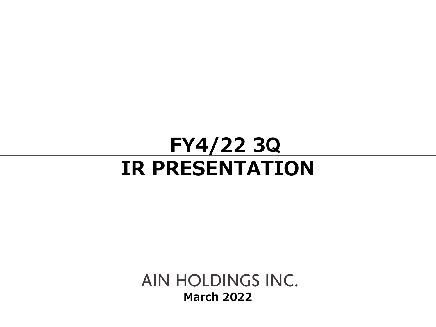# **FY4/22 3 QIR PRESENTATION**

AIN HOLDINGS INC. **March 2022**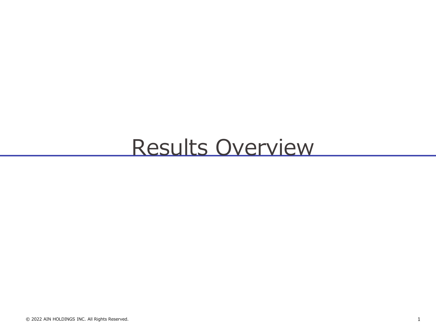# Results Overview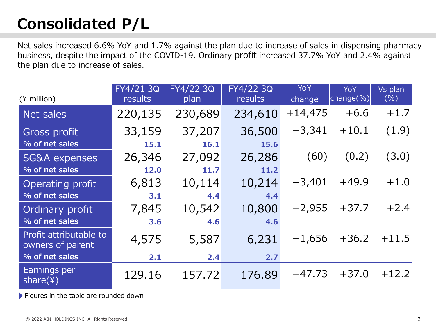## **Consolidated P/L**

Net sales increased 6.6% YoY and 1.7% against the plan due to increase of sales in dispensing pharmacy business, despite the impact of the COVID-19. Ordinary profit increased 37.7% YoY and 2.4% against the plan due to increase of sales.

| $(*)$ million)                             | FY4/21 3Q<br>results | FY4/22 3Q<br>plan | FY4/22 3Q<br>results | YoY<br>change | YoY<br>change(%) | Vs plan<br>(% ) |
|--------------------------------------------|----------------------|-------------------|----------------------|---------------|------------------|-----------------|
| Net sales                                  | 220,135              | 230,689           | 234,610              | $+14,475$     | $+6.6$           | $+1.7$          |
| Gross profit                               | 33,159               | 37,207            | 36,500               | $+3,341$      | $+10.1$          | (1.9)           |
| % of net sales                             | 15.1                 | 16.1              | 15.6                 |               |                  |                 |
| <b>SG&amp;A expenses</b>                   | 26,346               | 27,092            | 26,286               | (60)          | (0.2)            | (3.0)           |
| % of net sales                             | 12.0                 | 11.7              | 11.2                 |               |                  |                 |
| Operating profit                           | 6,813                | 10,114            | 10,214               | $+3,401$      | $+49.9$          | $+1.0$          |
| % of net sales                             | 3.1                  | 4.4               | 4.4                  |               |                  |                 |
| Ordinary profit                            | 7,845                | 10,542            | 10,800               | $+2,955$      | $+37.7$          | $+2.4$          |
| % of net sales                             | 3.6                  | 4.6               | 4.6                  |               |                  |                 |
| Profit attributable to<br>owners of parent | 4,575                | 5,587             | 6,231                | $+1,656$      | $+36.2$          | $+11.5$         |
| % of net sales                             | 2.1                  | 2.4               | 2.7                  |               |                  |                 |
| Earnings per<br>share $(*)$                | 129.16               | 157.72            | 176.89               | $+47.73$      | $+37.0$          | $+12.2$         |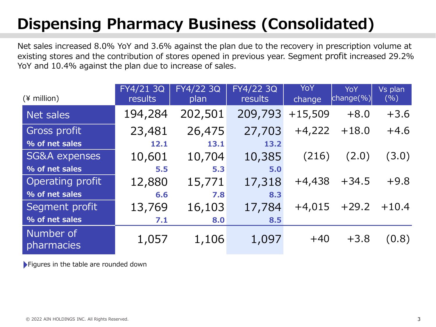## **Dispensing Pharmacy Business (Consolidated)**

Net sales increased 8.0% YoY and 3.6% against the plan due to the recovery in prescription volume at existing stores and the contribution of stores opened in previous year. Segment profit increased 29.2% YoY and 10.4% against the plan due to increase of sales.

| $(*$ million)            | FY4/21 3Q<br>results | FY4/22 3Q<br>plan | FY4/22 3Q<br><b>results</b> | <b>YoY</b><br>change | YoY<br>$\vert$ change $(\%)$ | Vs plan<br>(%) |
|--------------------------|----------------------|-------------------|-----------------------------|----------------------|------------------------------|----------------|
| Net sales                | 194,284              | 202,501           | 209,793                     | $+15,509$            | $+8.0$                       | $+3.6$         |
| Gross profit             | 23,481               | 26,475            | 27,703                      | $+4,222$             | $+18.0$                      | $+4.6$         |
| % of net sales           | 12.1                 | 13.1              | 13.2                        |                      |                              |                |
| <b>SG&amp;A expenses</b> | 10,601               | 10,704            | 10,385                      | (216)                | (2.0)                        | (3.0)          |
| % of net sales           | 5.5                  | 5.3               | 5.0                         |                      |                              |                |
| Operating profit         | 12,880               | 15,771            | 17,318                      | $+4,438$             | $+34.5$                      | $+9.8$         |
| % of net sales           | 6.6                  | 7.8               | 8.3                         |                      |                              |                |
| Segment profit           | 13,769               | 16,103            | 17,784                      | $+4,015$             | $+29.2$                      | $+10.4$        |
| % of net sales           | 7.1                  | 8.0               | 8.5                         |                      |                              |                |
| Number of<br>pharmacies  | 1,057                | 1,106             | 1,097                       | $+40$                | $+3.8$                       | (0.8)          |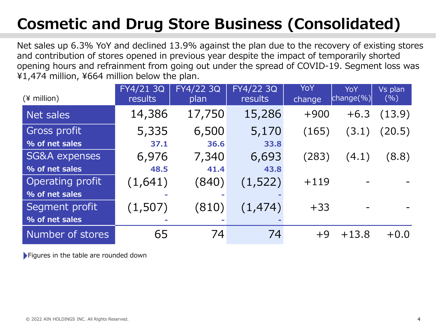## **Cosmetic and Drug Store Business (Consolidated)**

Net sales up 6.3% YoY and declined 13.9% against the plan due to the recovery of existing stores and contribution of stores opened in previous year despite the impact of temporarily shorted opening hours and refrainment from going out under the spread of COVID-19. Segment loss was ¥1,474 million, ¥664 million below the plan.

| $(*)$ million)           | FY4/21 3Q<br>results | FY4/22 3Q<br>plan | FY4/22 3Q<br><b>results</b> | YoY<br>change | <b>YoY</b><br>$ {\rm change}(\%) $ | Vs plan<br>(%) |
|--------------------------|----------------------|-------------------|-----------------------------|---------------|------------------------------------|----------------|
| Net sales                | 14,386               | 17,750            | 15,286                      | $+900$        | $+6.3$                             | (13.9)         |
| Gross profit             | 5,335                | 6,500             | 5,170                       | (165)         | (3.1)                              | (20.5)         |
| % of net sales           | 37.1                 | 36.6              | 33.8                        |               |                                    |                |
| <b>SG&amp;A expenses</b> | 6,976                | 7,340             | 6,693                       | (283)         | (4.1)                              | (8.8)          |
| % of net sales           | 48.5                 | 41.4              | 43.8                        |               |                                    |                |
| Operating profit         | (1,641)              | (840)             | (1, 522)                    | $+119$        |                                    |                |
| % of net sales           |                      |                   |                             |               |                                    |                |
| Segment profit           | (1,507)              | (810)             | (1, 474)                    | $+33$         |                                    |                |
| % of net sales           |                      |                   |                             |               |                                    |                |
| Number of stores         | 65                   | 74                | 74                          | $+9$          | $+13.8$                            | $+0.0$         |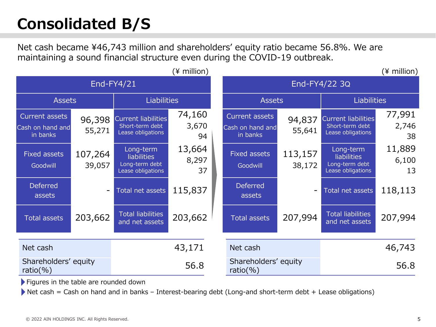## **Consolidated B/S**

Net cash became ¥46,743 million and shareholders' equity ratio became 56.8%. We are maintaining a sound financial structure even during the COVID-19 outbreak.

 $(\frac{4}{3})$  million)  $(\frac{4}{3})$  million

| End-FY4/21                                     |                   |                                                                        |                       |  | End-FY4/22 3Q                                  |                          |                                                                        |                       |  |
|------------------------------------------------|-------------------|------------------------------------------------------------------------|-----------------------|--|------------------------------------------------|--------------------------|------------------------------------------------------------------------|-----------------------|--|
| <b>Assets</b>                                  |                   | <b>Liabilities</b>                                                     |                       |  | <b>Assets</b>                                  |                          | <b>Liabilities</b>                                                     |                       |  |
| Current assets<br>Cash on hand and<br>in banks | 96,398<br>55,271  | Current liabilities<br>Short-term debt<br>Lease obligations            | 74,160<br>3,670<br>94 |  | Current assets<br>Cash on hand and<br>in banks | 94,837<br>55,641         | Current liabilities<br>Short-term debt<br>Lease obligations            | 77,991<br>2,746<br>38 |  |
| <b>Fixed assets</b><br>Goodwill                | 107,264<br>39,057 | Long-term<br><b>liabilities</b><br>Long-term debt<br>Lease obligations | 13,664<br>8,297<br>37 |  | <b>Fixed assets</b><br>Goodwill                | 113,157<br>38,172        | Long-term<br><b>liabilities</b><br>Long-term debt<br>Lease obligations | 11,889<br>6,100<br>13 |  |
| <b>Deferred</b><br>assets                      |                   | Total net assets                                                       | 115,837               |  | <b>Deferred</b><br>assets                      | $\overline{\phantom{m}}$ | Total net assets                                                       | 118,113               |  |
| <b>Total assets</b>                            | 203,662           | <b>Total liabilities</b><br>and net assets                             | 203,662               |  | <b>Total assets</b>                            | 207,994                  | <b>Total liabilities</b><br>and net assets                             | 207,994               |  |
| Net cash                                       |                   |                                                                        | 43,171                |  | Net cash                                       |                          |                                                                        | 46,743                |  |
| Shareholders' equity<br>ratio $(\% )$          |                   | 56.8                                                                   |                       |  | Shareholders' equity<br>ratio $(\% )$          |                          | 56.8                                                                   |                       |  |

Figures in the table are rounded down

Net cash = Cash on hand and in banks - Interest-bearing debt (Long-and short-term debt + Lease obligations)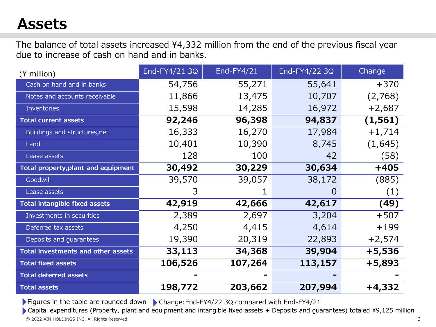### **Assets**

The balance of total assets increased ¥4,332 million from the end of the previous fiscal year due to increase of cash on hand and in banks.

| $(*)$ million)                             | End-FY4/21 3Q | End-FY4/21 | End-FY4/22 3Q | Change   |
|--------------------------------------------|---------------|------------|---------------|----------|
| Cash on hand and in banks                  | 54,756        | 55,271     | 55,641        | $+370$   |
| Notes and accounts receivable              | 11,866        | 13,475     | 10,707        | (2,768)  |
| <b>Inventories</b>                         | 15,598        | 14,285     | 16,972        | $+2,687$ |
| <b>Total current assets</b>                | 92,246        | 96,398     | 94,837        | (1, 561) |
| Buildings and structures, net              | 16,333        | 16,270     | 17,984        | $+1,714$ |
| Land                                       | 10,401        | 10,390     | 8,745         | (1,645)  |
| Lease assets                               | 128           | 100        | 42            | (58)     |
| <b>Total property, plant and equipment</b> | 30,492        | 30,229     | 30,634        | $+405$   |
| Goodwill                                   | 39,570        | 39,057     | 38,172        | (885)    |
| Lease assets                               | 3             |            |               | (1)      |
| <b>Total intangible fixed assets</b>       | 42,919        | 42,666     | 42,617        | (49)     |
| Investments in securities                  | 2,389         | 2,697      | 3,204         | $+507$   |
| Deferred tax assets                        | 4,250         | 4,415      | 4,614         | $+199$   |
| Deposits and guarantees                    | 19,390        | 20,319     | 22,893        | $+2,574$ |
| Total investments and other assets         | 33,113        | 34,368     | 39,904        | $+5,536$ |
| <b>Total fixed assets</b>                  | 106,526       | 107,264    | 113,157       | $+5,893$ |
| <b>Total deferred assets</b>               |               |            |               |          |
| <b>Total assets</b>                        | 198,772       | 203,662    | 207,994       | $+4,332$ |

Figures in the table are rounded down Change:End-FY4/22 3Q compared with End-FY4/21

© 2022 AIN HOLDINGS INC. All Rights Reserved. 6 Capital expenditures (Property, plant and equipment and intangible fixed assets + Deposits and guarantees) totaled ¥9,125 million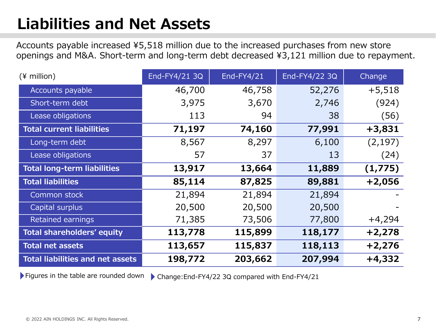## **Liabilities and Net Assets**

Accounts payable increased ¥5,518 million due to the increased purchases from new store openings and M&A. Short-term and long-term debt decreased ¥3,121 million due to repayment.

| $(*)$ million)                          | End-FY4/21 3Q | End-FY4/21 | End-FY4/22 3Q | Change   |
|-----------------------------------------|---------------|------------|---------------|----------|
| Accounts payable                        | 46,700        | 46,758     | 52,276        | $+5,518$ |
| Short-term debt                         | 3,975         | 3,670      | 2,746         | (924)    |
| Lease obligations                       | 113           | 94         | 38            | (56)     |
| <b>Total current liabilities</b>        | 71,197        | 74,160     | 77,991        | $+3,831$ |
| Long-term debt                          | 8,567         | 8,297      | 6,100         | (2, 197) |
| Lease obligations                       | 57            | 37         | 13            | (24)     |
| <b>Total long-term liabilities</b>      | 13,917        | 13,664     | 11,889        | (1,775)  |
| <b>Total liabilities</b>                | 85,114        | 87,825     | 89,881        | $+2,056$ |
| Common stock                            | 21,894        | 21,894     | 21,894        |          |
| Capital surplus                         | 20,500        | 20,500     | 20,500        |          |
| Retained earnings                       | 71,385        | 73,506     | 77,800        | $+4,294$ |
| Total shareholders' equity              | 113,778       | 115,899    | 118,177       | $+2,278$ |
| <b>Total net assets</b>                 | 113,657       | 115,837    | 118,113       | $+2,276$ |
| <b>Total liabilities and net assets</b> | 198,772       | 203,662    | 207,994       | $+4,332$ |

Figures in the table are rounded down Change:End-FY4/22 3Q compared with End-FY4/21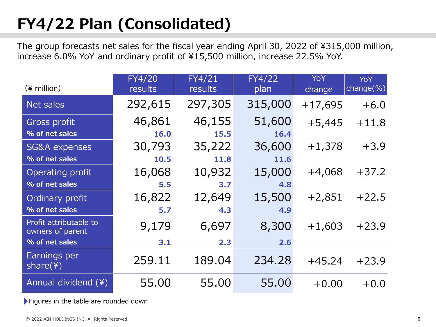## **FY4/22 Plan (Consolidated)**

The group forecasts net sales for the fiscal year ending April 30, 2022 of ¥315,000 million, increase 6.0% YoY and ordinary profit of ¥15,500 million, increase 22.5% YoY.

| $(*)$ million)                             | <b>FY4/20</b><br>results | FY4/21<br>results | <b>FY4/22</b><br>plan | YoY<br>change | <b>YoY</b><br>change $(\%)$ |
|--------------------------------------------|--------------------------|-------------------|-----------------------|---------------|-----------------------------|
| Net sales                                  | 292,615                  | 297,305           | 315,000               | $+17,695$     | $+6.0$                      |
| Gross profit                               | 46,861                   | 46,155            | 51,600                | $+5,445$      | $+11.8$                     |
| % of net sales                             | 16.0                     | 15.5              | 16.4                  |               |                             |
| <b>SG&amp;A</b> expenses                   | 30,793                   | 35,222            | 36,600                | $+1,378$      | $+3.9$                      |
| % of net sales                             | 10.5                     | 11.8              | 11.6                  |               |                             |
| Operating profit                           | 16,068                   | 10,932            | 15,000                | $+4,068$      | $+37.2$                     |
| % of net sales                             | 5.5                      | 3.7               | 4.8                   |               |                             |
| Ordinary profit                            | 16,822                   | 12,649            | 15,500                | $+2,851$      | $+22.5$                     |
| % of net sales                             | 5.7                      | 4.3               | 4.9                   |               |                             |
| Profit attributable to<br>owners of parent | 9,179                    | 6,697             | 8,300                 | $+1,603$      | $+23.9$                     |
| % of net sales                             | 3.1                      | 2.3               | 2.6                   |               |                             |
| Earnings per<br>share(4)                   | 259.11                   | 189.04            | 234.28                | $+45.24$      | $+23.9$                     |
| Annual dividend (¥)                        | 55.00                    | 55.00             | 55.00                 | $+0.00$       | $+0.0$                      |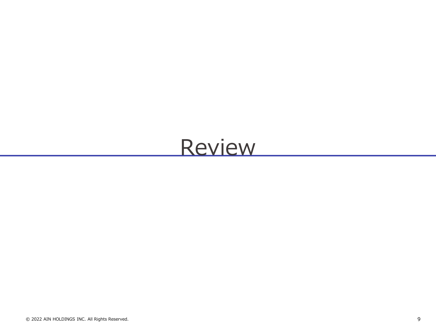## Review

© 2022 AIN HOLDINGS INC. All Rights Reserved. 9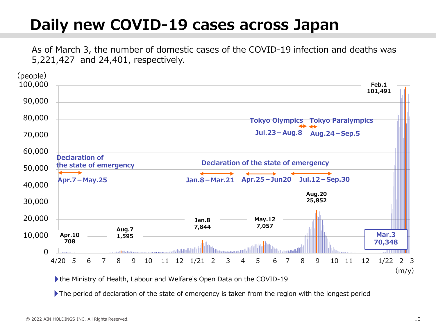## **Daily new COVID-19 cases across Japan**

As of March 3, the number of domestic cases of the COVID-19 infection and deaths was 5,221,427 and 24,401, respectively.



the Ministry of Health, Labour and Welfare's Open Data on the COVID-19

The period of declaration of the state of emergency is taken from the region with the longest period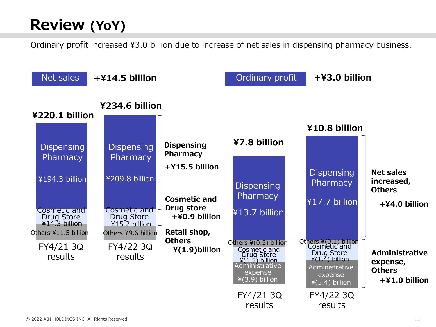## **Review (YoY)**

Ordinary profit increased ¥3.0 billion due to increase of net sales in dispensing pharmacy business.

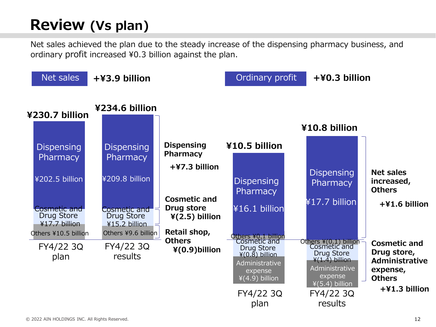## **Review (Vs plan)**

Net sales achieved the plan due to the steady increase of the dispensing pharmacy business, and ordinary profit increased ¥0.3 billion against the plan.

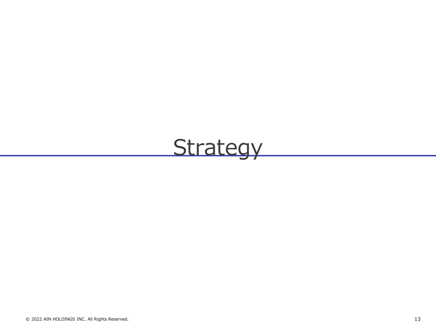# Strategy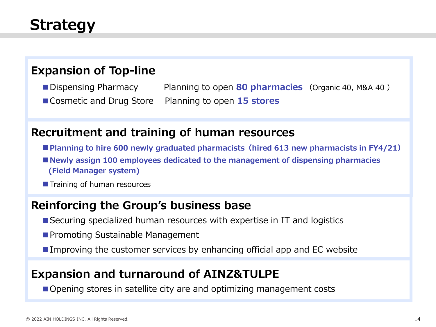## **Strategy**

### **Expansion of Top-line**

■ Dispensing Pharmacy Planning to open 80 pharmacies (Organic 40, M&A 40) ■ Cosmetic and Drug Store Planning to open **15 stores** 

#### **Recruitment and training of human resources**

- ■**Planning to hire 600 newly graduated pharmacists (hired 613 new pharmacists in FY4/21)**
- Newly assign 100 employees dedicated to the management of dispensing pharmacies **(Field Manager system)**
- Training of human resources

### **Reinforcing the Group's business base**

- Securing specialized human resources with expertise in IT and logistics
- Promoting Sustainable Management
- Improving the customer services by enhancing official app and EC website

### **Expansion and turnaround of AINZ&TULPE**

■ Opening stores in satellite city are and optimizing management costs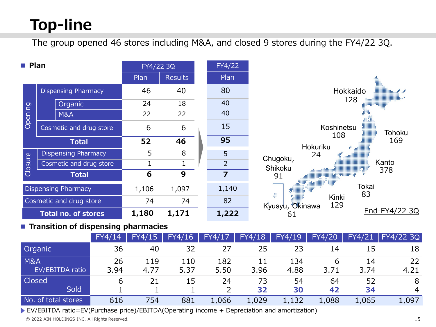## **Top-line**

The group opened 46 stores including M&A, and closed 9 stores during the FY4/22 3Q.

| $\blacksquare$ Plan |                            | FY4/22 3Q |                | FY4/22         |                                            |
|---------------------|----------------------------|-----------|----------------|----------------|--------------------------------------------|
|                     |                            | Plan      | <b>Results</b> | Plan           |                                            |
|                     | <b>Dispensing Pharmacy</b> | 46        | 40             | 80             | i<br>Link<br>Hokkaido                      |
|                     | Organic                    | 24        | 18             | 40             | 128<br>$\sim$ , where $\sim$               |
| Opening             | <b>M&amp;A</b>             | 22        | 22             | 40             |                                            |
|                     | Cosmetic and drug store    | 6         | 6              | 15             | Koshinetsu<br>Tohoku<br>-----------<br>108 |
|                     | <b>Total</b>               | 52        | 46             | 95             | 169<br>Hokuriku                            |
|                     | <b>Dispensing Pharmacy</b> | 5         | 8              | 5 <sup>5</sup> | 24<br>                                     |
| Closure             | Cosmetic and drug store    |           |                | $\overline{2}$ | Chugoku,<br>Kanto<br>Shikoku               |
|                     | <b>Total</b>               | 6         | 9              | 7              | 378                                        |
|                     | <b>Dispensing Pharmacy</b> | 1,106     | 1,097          | 1,140          | Tokai<br>83                                |
|                     | Cosmetic and drug store    | 74        | 74             | 82             | Kinki<br>129<br>Kyusyu, Okinawa            |
|                     | <b>Total no. of stores</b> | 1,180     | 1,171          | 1,222          | End-FY4/22 3Q<br>61                        |

#### ■ **Transition of dispensing pharmacies**

|                     | FY4/14 | FY4/15/ | FY4/16 | FY4/17 | FY4/18 | FY4/19 | FY4/20 | FY4/21 | FY4/223Q       |
|---------------------|--------|---------|--------|--------|--------|--------|--------|--------|----------------|
| Organic             | 36     | 40      | 32     | 27     | 25     | 23     | 14     | 15     | 18             |
| <b>M&amp;A</b>      | 26     | 119     | 110    | 182    | 11     | 134    |        | 14     | 22             |
| EV/EBITDA ratio     | 3.94   | 4.77    | 5.37   | 5.50   | 3.96   | 4.88   | 3.71   | 3.74   | 4.21           |
| Closed              | 6      | 21      | 15     | 24     | 73     | 54     | 64     | 52     | 8              |
| Sold                |        |         |        |        | 32     | 30     | 42     | 34     | $\overline{4}$ |
| No. of total stores | 616    | 754     | 881    | 1,066  | 1,029  | 1,132  | 1,088  | 1,065  | 1,097          |

EV/EBITDA ratio=EV(Purchase price)/EBITDA(Operating income + Depreciation and amortization)

© 2022 AIN HOLDINGS INC. All Rights Reserved. 15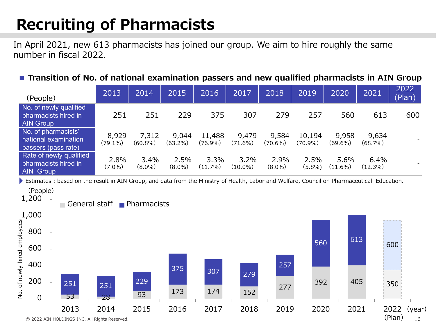## **Recruiting of Pharmacists**

In April 2021, new 613 pharmacists has joined our group. We aim to hire roughly the same number in fiscal 2022.

#### ■ **Transition of No. of national examination passers and new qualified pharmacists in AIN Group**

| (People)                                                            | 2013                | 2014                | 2015                | 2016                 | 2017                | 2018              | 2019                 | 2020               | 2021             | 2022<br>(Plan) |
|---------------------------------------------------------------------|---------------------|---------------------|---------------------|----------------------|---------------------|-------------------|----------------------|--------------------|------------------|----------------|
| No. of newly qualified<br>pharmacists hired in<br><b>AIN Group</b>  | 251                 | 251                 | 229                 | 375                  | 307                 | 279               | 257                  | 560                | 613              | 600            |
| No. of pharmacists'<br>national examination<br>passers (pass rate)  | 8,929<br>$(79.1\%)$ | 7,312<br>$(60.8\%)$ | 9,044<br>$(63.2\%)$ | 11,488<br>$(76.9\%)$ | 9,479<br>$(71.6\%)$ | 9,584<br>(70.6%)  | 10,194<br>$(70.9\%)$ | 9,958<br>(69.6%)   | 9,634<br>(68.7%) |                |
| Rate of newly qualified<br>pharmacists hired in<br><b>AIN Group</b> | 2.8%<br>$(7.0\%)$   | 3.4%<br>$(8.0\%)$   | 2.5%<br>$(8.0\%)$   | 3.3%<br>(11.7%)      | 3.2%<br>$(10.0\%)$  | 2.9%<br>$(8.0\%)$ | 2.5%<br>$(5.8\%)$    | 5.6%<br>$(11.6\%)$ | 6.4%<br>(12.3%)  |                |

Estimates : based on the result in AIN Group, and data from the Ministry of Health, Labor and Welfare, Council on Pharmaceutical Education.

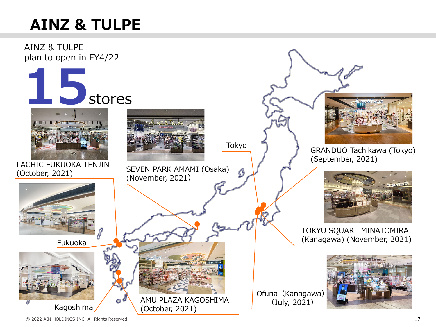## **AINZ & TULPE**

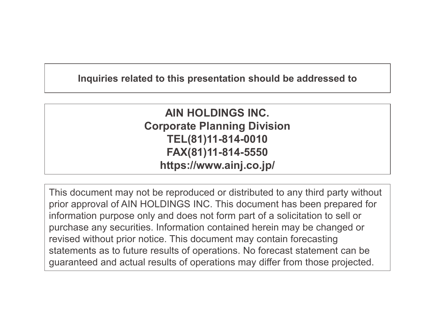#### **Inquiries related to this presentation should be addressed to**

**AIN HOLDINGS INC. Corporate Planning Division TEL(81)11-814-0010 FAX(81)11-814-5550 https://www.ainj.co.jp/**

This document may not be reproduced or distributed to any third party without prior approval of AIN HOLDINGS INC. This document has been prepared for information purpose only and does not form part of a solicitation to sell or purchase any securities. Information contained herein may be changed or revised without prior notice. This document may contain forecasting statements as to future results of operations. No forecast statement can be guaranteed and actual results of operations may differ from those projected.